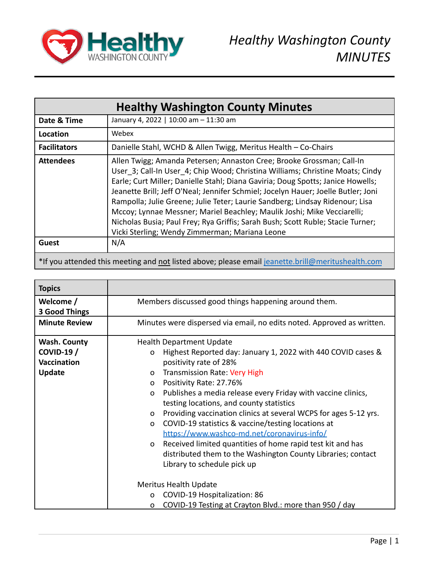

| <b>Healthy Washington County Minutes</b> |                                                                                                                                                                                                                                                                                                                                                                                                                                                                                                                                                                                                                                |
|------------------------------------------|--------------------------------------------------------------------------------------------------------------------------------------------------------------------------------------------------------------------------------------------------------------------------------------------------------------------------------------------------------------------------------------------------------------------------------------------------------------------------------------------------------------------------------------------------------------------------------------------------------------------------------|
| Date & Time                              | January 4, 2022   10:00 am - 11:30 am                                                                                                                                                                                                                                                                                                                                                                                                                                                                                                                                                                                          |
| Location                                 | Webex                                                                                                                                                                                                                                                                                                                                                                                                                                                                                                                                                                                                                          |
| <b>Facilitators</b>                      | Danielle Stahl, WCHD & Allen Twigg, Meritus Health - Co-Chairs                                                                                                                                                                                                                                                                                                                                                                                                                                                                                                                                                                 |
| <b>Attendees</b>                         | Allen Twigg; Amanda Petersen; Annaston Cree; Brooke Grossman; Call-In<br>User 3; Call-In User 4; Chip Wood; Christina Williams; Christine Moats; Cindy<br>Earle; Curt Miller; Danielle Stahl; Diana Gaviria; Doug Spotts; Janice Howells;<br>Jeanette Brill; Jeff O'Neal; Jennifer Schmiel; Jocelyn Hauer; Joelle Butler; Joni<br>Rampolla; Julie Greene; Julie Teter; Laurie Sandberg; Lindsay Ridenour; Lisa<br>Mccoy; Lynnae Messner; Mariel Beachley; Maulik Joshi; Mike Vecciarelli;<br>Nicholas Busia; Paul Frey; Rya Griffis; Sarah Bush; Scott Ruble; Stacie Turner;<br>Vicki Sterling; Wendy Zimmerman; Mariana Leone |
| <b>Guest</b>                             | N/A                                                                                                                                                                                                                                                                                                                                                                                                                                                                                                                                                                                                                            |
|                                          | *If you attended this meeting and not listed above; please email jeanette.brill@meritushealth.com                                                                                                                                                                                                                                                                                                                                                                                                                                                                                                                              |

| <b>Topics</b>                     |                                                                              |  |  |
|-----------------------------------|------------------------------------------------------------------------------|--|--|
| Welcome /<br><b>3 Good Things</b> | Members discussed good things happening around them.                         |  |  |
| <b>Minute Review</b>              | Minutes were dispersed via email, no edits noted. Approved as written.       |  |  |
| <b>Wash. County</b>               | <b>Health Department Update</b>                                              |  |  |
| <b>COVID-19 /</b>                 | Highest Reported day: January 1, 2022 with 440 COVID cases &<br>O            |  |  |
| <b>Vaccination</b>                | positivity rate of 28%                                                       |  |  |
| <b>Update</b>                     | Transmission Rate: Very High<br>$\Omega$                                     |  |  |
|                                   | Positivity Rate: 27.76%<br>0                                                 |  |  |
|                                   | Publishes a media release every Friday with vaccine clinics,<br>O            |  |  |
|                                   | testing locations, and county statistics                                     |  |  |
|                                   | Providing vaccination clinics at several WCPS for ages 5-12 yrs.<br>$\Omega$ |  |  |
|                                   | COVID-19 statistics & vaccine/testing locations at<br>O                      |  |  |
|                                   | https://www.washco-md.net/coronavirus-info/                                  |  |  |
|                                   | Received limited quantities of home rapid test kit and has<br>$\mathsf{o}$   |  |  |
|                                   | distributed them to the Washington County Libraries; contact                 |  |  |
|                                   | Library to schedule pick up                                                  |  |  |
|                                   |                                                                              |  |  |
|                                   | Meritus Health Update                                                        |  |  |
|                                   | COVID-19 Hospitalization: 86<br>$\Omega$                                     |  |  |
|                                   | COVID-19 Testing at Crayton Blvd.: more than 950 / day<br>o                  |  |  |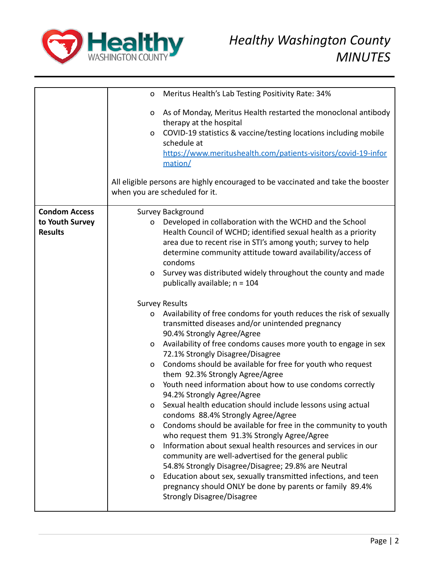

|                                                           | Meritus Health's Lab Testing Positivity Rate: 34%<br>$\mathsf{o}\xspace$                                                                                                                                                                                                                                                                                                            |
|-----------------------------------------------------------|-------------------------------------------------------------------------------------------------------------------------------------------------------------------------------------------------------------------------------------------------------------------------------------------------------------------------------------------------------------------------------------|
|                                                           | As of Monday, Meritus Health restarted the monoclonal antibody<br>o<br>therapy at the hospital<br>COVID-19 statistics & vaccine/testing locations including mobile<br>$\mathsf{o}\xspace$<br>schedule at<br>https://www.meritushealth.com/patients-visitors/covid-19-infor<br>mation/<br>All eligible persons are highly encouraged to be vaccinated and take the booster           |
|                                                           | when you are scheduled for it.                                                                                                                                                                                                                                                                                                                                                      |
| <b>Condom Access</b><br>to Youth Survey<br><b>Results</b> | Survey Background<br>Developed in collaboration with the WCHD and the School<br>$\mathsf{o}\xspace$<br>Health Council of WCHD; identified sexual health as a priority<br>area due to recent rise in STI's among youth; survey to help<br>determine community attitude toward availability/access of<br>condoms<br>Survey was distributed widely throughout the county and made<br>o |
|                                                           | publically available; $n = 104$                                                                                                                                                                                                                                                                                                                                                     |
|                                                           | <b>Survey Results</b>                                                                                                                                                                                                                                                                                                                                                               |
|                                                           | Availability of free condoms for youth reduces the risk of sexually<br>o<br>transmitted diseases and/or unintended pregnancy<br>90.4% Strongly Agree/Agree                                                                                                                                                                                                                          |
|                                                           | Availability of free condoms causes more youth to engage in sex<br>0<br>72.1% Strongly Disagree/Disagree                                                                                                                                                                                                                                                                            |
|                                                           | Condoms should be available for free for youth who request<br>0<br>them 92.3% Strongly Agree/Agree                                                                                                                                                                                                                                                                                  |
|                                                           | Youth need information about how to use condoms correctly<br>$\Omega$<br>94.2% Strongly Agree/Agree                                                                                                                                                                                                                                                                                 |
|                                                           | Sexual health education should include lessons using actual<br>0<br>condoms 88.4% Strongly Agree/Agree                                                                                                                                                                                                                                                                              |
|                                                           | Condoms should be available for free in the community to youth<br>$\mathsf{o}$<br>who request them 91.3% Strongly Agree/Agree                                                                                                                                                                                                                                                       |
|                                                           | Information about sexual health resources and services in our<br>O<br>community are well-advertised for the general public<br>54.8% Strongly Disagree/Disagree; 29.8% are Neutral                                                                                                                                                                                                   |
|                                                           | Education about sex, sexually transmitted infections, and teen<br>O<br>pregnancy should ONLY be done by parents or family 89.4%<br><b>Strongly Disagree/Disagree</b>                                                                                                                                                                                                                |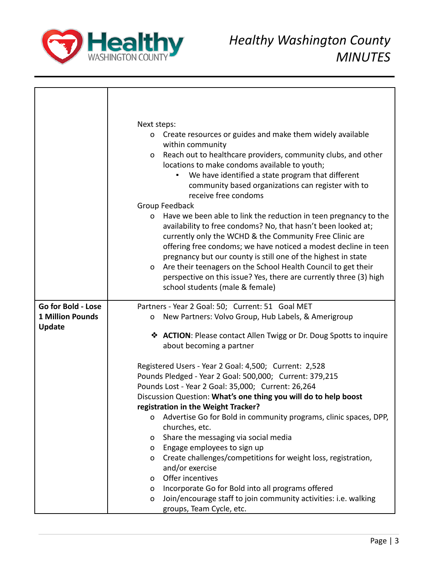

|                                          | Next steps:<br>Create resources or guides and make them widely available<br>0<br>within community<br>Reach out to healthcare providers, community clubs, and other<br>0<br>locations to make condoms available to youth;<br>We have identified a state program that different<br>community based organizations can register with to<br>receive free condoms<br>Group Feedback<br>Have we been able to link the reduction in teen pregnancy to the<br>$\mathsf{o}$<br>availability to free condoms? No, that hasn't been looked at;<br>currently only the WCHD & the Community Free Clinic are<br>offering free condoms; we have noticed a modest decline in teen<br>pregnancy but our county is still one of the highest in state<br>Are their teenagers on the School Health Council to get their<br>O |
|------------------------------------------|---------------------------------------------------------------------------------------------------------------------------------------------------------------------------------------------------------------------------------------------------------------------------------------------------------------------------------------------------------------------------------------------------------------------------------------------------------------------------------------------------------------------------------------------------------------------------------------------------------------------------------------------------------------------------------------------------------------------------------------------------------------------------------------------------------|
|                                          | perspective on this issue? Yes, there are currently three (3) high<br>school students (male & female)                                                                                                                                                                                                                                                                                                                                                                                                                                                                                                                                                                                                                                                                                                   |
| Go for Bold - Lose                       | Partners - Year 2 Goal: 50; Current: 51 Goal MET                                                                                                                                                                                                                                                                                                                                                                                                                                                                                                                                                                                                                                                                                                                                                        |
| <b>1 Million Pounds</b><br><b>Update</b> | New Partners: Volvo Group, Hub Labels, & Amerigroup<br>$\mathsf{o}$                                                                                                                                                                                                                                                                                                                                                                                                                                                                                                                                                                                                                                                                                                                                     |
|                                          | <b>❖ ACTION: Please contact Allen Twigg or Dr. Doug Spotts to inquire</b><br>about becoming a partner                                                                                                                                                                                                                                                                                                                                                                                                                                                                                                                                                                                                                                                                                                   |
|                                          | Registered Users - Year 2 Goal: 4,500; Current: 2,528                                                                                                                                                                                                                                                                                                                                                                                                                                                                                                                                                                                                                                                                                                                                                   |
|                                          | Pounds Pledged - Year 2 Goal: 500,000; Current: 379,215                                                                                                                                                                                                                                                                                                                                                                                                                                                                                                                                                                                                                                                                                                                                                 |
|                                          | Pounds Lost - Year 2 Goal: 35,000; Current: 26,264                                                                                                                                                                                                                                                                                                                                                                                                                                                                                                                                                                                                                                                                                                                                                      |
|                                          | Discussion Question: What's one thing you will do to help boost                                                                                                                                                                                                                                                                                                                                                                                                                                                                                                                                                                                                                                                                                                                                         |
|                                          | registration in the Weight Tracker?                                                                                                                                                                                                                                                                                                                                                                                                                                                                                                                                                                                                                                                                                                                                                                     |
|                                          | Advertise Go for Bold in community programs, clinic spaces, DPP,<br>0                                                                                                                                                                                                                                                                                                                                                                                                                                                                                                                                                                                                                                                                                                                                   |
|                                          | churches, etc.<br>Share the messaging via social media<br>O                                                                                                                                                                                                                                                                                                                                                                                                                                                                                                                                                                                                                                                                                                                                             |
|                                          | Engage employees to sign up<br>o                                                                                                                                                                                                                                                                                                                                                                                                                                                                                                                                                                                                                                                                                                                                                                        |
|                                          | Create challenges/competitions for weight loss, registration,<br>O                                                                                                                                                                                                                                                                                                                                                                                                                                                                                                                                                                                                                                                                                                                                      |
|                                          | and/or exercise                                                                                                                                                                                                                                                                                                                                                                                                                                                                                                                                                                                                                                                                                                                                                                                         |
|                                          | Offer incentives<br>0                                                                                                                                                                                                                                                                                                                                                                                                                                                                                                                                                                                                                                                                                                                                                                                   |
|                                          | Incorporate Go for Bold into all programs offered<br>$\mathsf{o}$                                                                                                                                                                                                                                                                                                                                                                                                                                                                                                                                                                                                                                                                                                                                       |
|                                          | Join/encourage staff to join community activities: i.e. walking<br>$\mathbf O$                                                                                                                                                                                                                                                                                                                                                                                                                                                                                                                                                                                                                                                                                                                          |
|                                          | groups, Team Cycle, etc.                                                                                                                                                                                                                                                                                                                                                                                                                                                                                                                                                                                                                                                                                                                                                                                |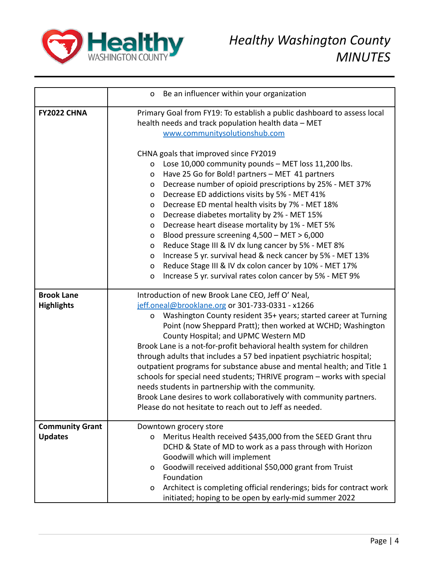

|                        | Be an influencer within your organization<br>o                             |  |  |  |  |
|------------------------|----------------------------------------------------------------------------|--|--|--|--|
| FY2022 CHNA            | Primary Goal from FY19: To establish a public dashboard to assess local    |  |  |  |  |
|                        | health needs and track population health data - MET                        |  |  |  |  |
|                        | www.communitysolutionshub.com                                              |  |  |  |  |
|                        |                                                                            |  |  |  |  |
|                        | CHNA goals that improved since FY2019                                      |  |  |  |  |
|                        | Lose 10,000 community pounds - MET loss 11,200 lbs.<br>O                   |  |  |  |  |
|                        | Have 25 Go for Bold! partners - MET 41 partners<br>o                       |  |  |  |  |
|                        | Decrease number of opioid prescriptions by 25% - MET 37%<br>O              |  |  |  |  |
|                        | Decrease ED addictions visits by 5% - MET 41%<br>O                         |  |  |  |  |
|                        | Decrease ED mental health visits by 7% - MET 18%<br>O                      |  |  |  |  |
|                        | Decrease diabetes mortality by 2% - MET 15%<br>O                           |  |  |  |  |
|                        | Decrease heart disease mortality by 1% - MET 5%<br>O                       |  |  |  |  |
|                        | Blood pressure screening $4,500 - MET > 6,000$<br>O                        |  |  |  |  |
|                        | Reduce Stage III & IV dx lung cancer by 5% - MET 8%<br>O                   |  |  |  |  |
|                        | Increase 5 yr. survival head & neck cancer by 5% - MET 13%<br>O            |  |  |  |  |
|                        | Reduce Stage III & IV dx colon cancer by 10% - MET 17%<br>O                |  |  |  |  |
|                        | Increase 5 yr. survival rates colon cancer by 5% - MET 9%<br>$\mathbf{o}$  |  |  |  |  |
| <b>Brook Lane</b>      | Introduction of new Brook Lane CEO, Jeff O' Neal,                          |  |  |  |  |
| <b>Highlights</b>      | jeff.oneal@brooklane.org or 301-733-0331 - x1266                           |  |  |  |  |
|                        | Washington County resident 35+ years; started career at Turning<br>o       |  |  |  |  |
|                        | Point (now Sheppard Pratt); then worked at WCHD; Washington                |  |  |  |  |
|                        | County Hospital; and UPMC Western MD                                       |  |  |  |  |
|                        | Brook Lane is a not-for-profit behavioral health system for children       |  |  |  |  |
|                        | through adults that includes a 57 bed inpatient psychiatric hospital;      |  |  |  |  |
|                        | outpatient programs for substance abuse and mental health; and Title 1     |  |  |  |  |
|                        | schools for special need students; THRIVE program - works with special     |  |  |  |  |
|                        | needs students in partnership with the community.                          |  |  |  |  |
|                        | Brook Lane desires to work collaboratively with community partners.        |  |  |  |  |
|                        | Please do not hesitate to reach out to Jeff as needed.                     |  |  |  |  |
| <b>Community Grant</b> | Downtown grocery store                                                     |  |  |  |  |
| <b>Updates</b>         | Meritus Health received \$435,000 from the SEED Grant thru<br>$\mathsf{o}$ |  |  |  |  |
|                        | DCHD & State of MD to work as a pass through with Horizon                  |  |  |  |  |
|                        | Goodwill which will implement                                              |  |  |  |  |
|                        | Goodwill received additional \$50,000 grant from Truist<br>O               |  |  |  |  |
|                        | Foundation                                                                 |  |  |  |  |
|                        | Architect is completing official renderings; bids for contract work<br>o   |  |  |  |  |
|                        | initiated; hoping to be open by early-mid summer 2022                      |  |  |  |  |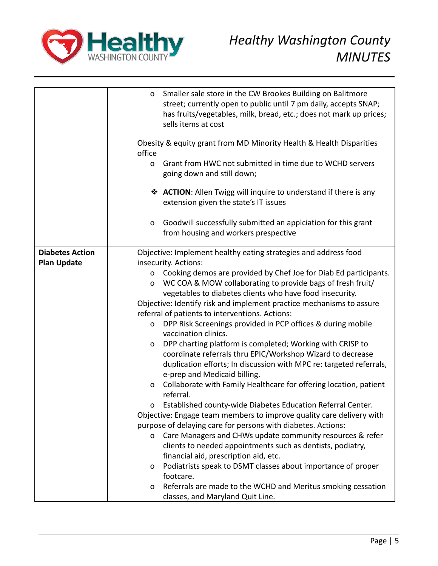

|                        | Smaller sale store in the CW Brookes Building on Balitmore<br>$\mathsf{o}\xspace$<br>street; currently open to public until 7 pm daily, accepts SNAP;<br>has fruits/vegetables, milk, bread, etc.; does not mark up prices; |
|------------------------|-----------------------------------------------------------------------------------------------------------------------------------------------------------------------------------------------------------------------------|
|                        | sells items at cost                                                                                                                                                                                                         |
|                        | Obesity & equity grant from MD Minority Health & Health Disparities<br>office                                                                                                                                               |
|                        | Grant from HWC not submitted in time due to WCHD servers<br>$\mathsf{o}$<br>going down and still down;                                                                                                                      |
|                        | ◆ ACTION: Allen Twigg will inquire to understand if there is any<br>extension given the state's IT issues                                                                                                                   |
|                        | Goodwill successfully submitted an applciation for this grant<br>$\mathbf 0$<br>from housing and workers prespective                                                                                                        |
| <b>Diabetes Action</b> | Objective: Implement healthy eating strategies and address food                                                                                                                                                             |
| <b>Plan Update</b>     | insecurity. Actions:                                                                                                                                                                                                        |
|                        | Cooking demos are provided by Chef Joe for Diab Ed participants.<br>$\mathsf{o}$                                                                                                                                            |
|                        | WC COA & MOW collaborating to provide bags of fresh fruit/<br>$\mathbf 0$                                                                                                                                                   |
|                        | vegetables to diabetes clients who have food insecurity.                                                                                                                                                                    |
|                        | Objective: Identify risk and implement practice mechanisms to assure                                                                                                                                                        |
|                        | referral of patients to interventions. Actions:                                                                                                                                                                             |
|                        | DPP Risk Screenings provided in PCP offices & during mobile<br>$\mathsf{o}$<br>vaccination clinics.                                                                                                                         |
|                        | DPP charting platform is completed; Working with CRISP to<br>$\mathsf{o}\xspace$                                                                                                                                            |
|                        | coordinate referrals thru EPIC/Workshop Wizard to decrease                                                                                                                                                                  |
|                        | duplication efforts; In discussion with MPC re: targeted referrals,                                                                                                                                                         |
|                        | e-prep and Medicaid billing.                                                                                                                                                                                                |
|                        | Collaborate with Family Healthcare for offering location, patient<br>O                                                                                                                                                      |
|                        | referral.                                                                                                                                                                                                                   |
|                        | Established county-wide Diabetes Education Referral Center.<br>0                                                                                                                                                            |
|                        | Objective: Engage team members to improve quality care delivery with                                                                                                                                                        |
|                        | purpose of delaying care for persons with diabetes. Actions:                                                                                                                                                                |
|                        | Care Managers and CHWs update community resources & refer<br>$\mathsf{o}\xspace$                                                                                                                                            |
|                        | clients to needed appointments such as dentists, podiatry,                                                                                                                                                                  |
|                        | financial aid, prescription aid, etc.                                                                                                                                                                                       |
|                        | Podiatrists speak to DSMT classes about importance of proper<br>O                                                                                                                                                           |
|                        | footcare.                                                                                                                                                                                                                   |
|                        | Referrals are made to the WCHD and Meritus smoking cessation<br>0                                                                                                                                                           |
|                        | classes, and Maryland Quit Line.                                                                                                                                                                                            |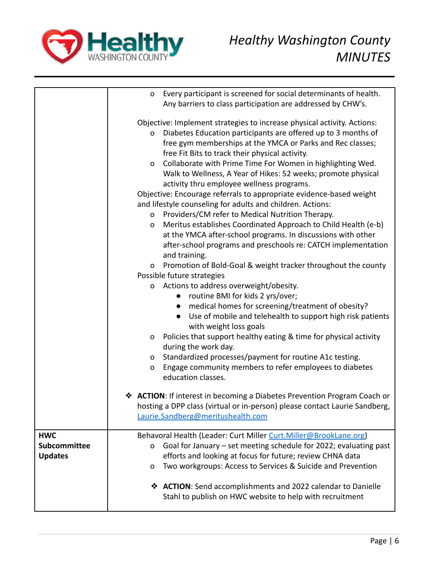

|                                   | o                                                                       | Every participant is screened for social determinants of health.                                                                      |
|-----------------------------------|-------------------------------------------------------------------------|---------------------------------------------------------------------------------------------------------------------------------------|
|                                   |                                                                         | Any barriers to class participation are addressed by CHW's.                                                                           |
|                                   | Objective: Implement strategies to increase physical activity. Actions: |                                                                                                                                       |
|                                   | O                                                                       | Diabetes Education participants are offered up to 3 months of                                                                         |
|                                   |                                                                         | free gym memberships at the YMCA or Parks and Rec classes;                                                                            |
|                                   |                                                                         | free Fit Bits to track their physical activity.                                                                                       |
|                                   | $\mathsf{o}\,$                                                          | Collaborate with Prime Time For Women in highlighting Wed.                                                                            |
|                                   |                                                                         | Walk to Wellness, A Year of Hikes: 52 weeks; promote physical                                                                         |
|                                   |                                                                         | activity thru employee wellness programs.                                                                                             |
|                                   |                                                                         | Objective: Encourage referrals to appropriate evidence-based weight                                                                   |
|                                   |                                                                         | and lifestyle counseling for adults and children. Actions:                                                                            |
|                                   | O                                                                       | Providers/CM refer to Medical Nutrition Therapy.                                                                                      |
|                                   | O                                                                       | Meritus establishes Coordinated Approach to Child Health (e-b)                                                                        |
|                                   |                                                                         | at the YMCA after-school programs. In discussions with other                                                                          |
|                                   |                                                                         | after-school programs and preschools re: CATCH implementation                                                                         |
|                                   |                                                                         | and training.                                                                                                                         |
|                                   | 0                                                                       | Promotion of Bold-Goal & weight tracker throughout the county                                                                         |
|                                   |                                                                         | Possible future strategies                                                                                                            |
|                                   | 0                                                                       | Actions to address overweight/obesity.                                                                                                |
|                                   |                                                                         | • routine BMI for kids 2 yrs/over;                                                                                                    |
|                                   |                                                                         | medical homes for screening/treatment of obesity?                                                                                     |
|                                   |                                                                         | Use of mobile and telehealth to support high risk patients<br>$\bullet$                                                               |
|                                   |                                                                         | with weight loss goals                                                                                                                |
|                                   | O                                                                       | Policies that support healthy eating & time for physical activity<br>during the work day.                                             |
|                                   | 0                                                                       | Standardized processes/payment for routine A1c testing.                                                                               |
|                                   | O                                                                       | Engage community members to refer employees to diabetes                                                                               |
|                                   |                                                                         | education classes.                                                                                                                    |
|                                   |                                                                         | <b>❖ ACTION: If interest in becoming a Diabetes Prevention Program Coach or</b>                                                       |
|                                   |                                                                         | hosting a DPP class (virtual or in-person) please contact Laurie Sandberg,                                                            |
|                                   |                                                                         | Laurie.Sandberg@meritushealth.com                                                                                                     |
|                                   |                                                                         |                                                                                                                                       |
| <b>HWC</b><br><b>Subcommittee</b> |                                                                         | Behavoral Health (Leader: Curt Miller Curt.Miller@BrookLane.org)<br>Goal for January - set meeting schedule for 2022; evaluating past |
| <b>Updates</b>                    | O                                                                       | efforts and looking at focus for future; review CHNA data                                                                             |
|                                   | $\mathbf O$                                                             | Two workgroups: Access to Services & Suicide and Prevention                                                                           |
|                                   |                                                                         |                                                                                                                                       |
|                                   |                                                                         | ❖ ACTION: Send accomplishments and 2022 calendar to Danielle                                                                          |
|                                   |                                                                         | Stahl to publish on HWC website to help with recruitment                                                                              |
|                                   |                                                                         |                                                                                                                                       |